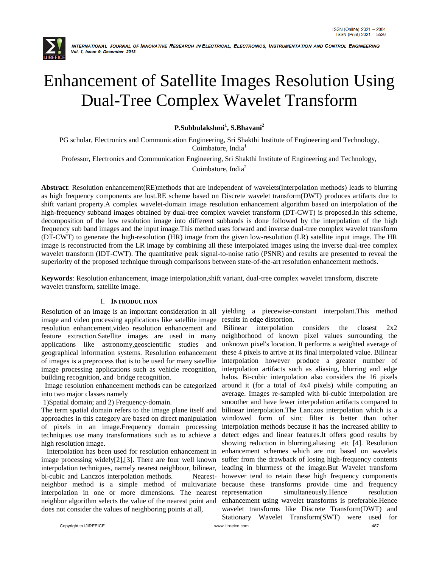

# Enhancement of Satellite Images Resolution Using Dual-Tree Complex Wavelet Transform

**P.Subbulakshmi<sup>1</sup> , S.Bhavani<sup>2</sup>**

PG scholar, Electronics and Communication Engineering, Sri Shakthi Institute of Engineering and Technology, Coimbatore, India<sup>1</sup>

Professor, Electronics and Communication Engineering, Sri Shakthi Institute of Engineering and Technology,

Coimbatore, India<sup>2</sup>

**Abstract**: Resolution enhancement(RE)methods that are independent of wavelets(interpolation methods) leads to blurring as high frequency components are lost.RE scheme based on Discrete wavelet transform(DWT) produces artifacts due to shift variant property.A complex wavelet-domain image resolution enhancement algorithm based on interpolation of the high-frequency subband images obtained by dual-tree complex wavelet transform (DT-CWT) is proposed.In this scheme, decomposition of the low resolution image into different subbands is done followed by the interpolation of the high frequency sub band images and the input image.This method uses forward and inverse dual-tree complex wavelet transform (DT-CWT) to generate the high-resolution (HR) image from the given low-resolution (LR) satellite input image. The HR image is reconstructed from the LR image by combining all these interpolated images using the inverse dual-tree complex wavelet transform (IDT-CWT). The quantitative peak signal-to-noise ratio (PSNR) and results are presented to reveal the superiority of the proposed technique through comparisons between state-of-the-art resolution enhancement methods.

**Keywords**: Resolution enhancement, image interpolation,shift variant, dual-tree complex wavelet transform, discrete wavelet transform, satellite image.

# I. **INTRODUCTION**

image and video processing applications like satellite image resolution enhancement,video resolution enhancement and feature extraction.Satellite images are used in many applications like astronomy,geoscientific studies and geographical information systems. Resolution enhancement of images is a preprocess that is to be used for many satellite image processing applications such as vehicle recognition, building recognition, and bridge recognition.

 Image resolution enhancement methods can be categorized into two major classes namely

1)Spatial domain; and 2) Frequency-domain.

The term spatial domain refers to the image plane itself and approaches in this category are based on direct manipulation of pixels in an image.Frequency domain processing techniques use many transformations such as to achieve a high resolution image.

 Interpolation has been used for resolution enhancement in image processing widely[2],[3]. There are four well known interpolation techniques, namely nearest neighbour, bilinear, bi-cubic and Lanczos interpolation methods. Nearestneighbor method is a simple method of multivariate interpolation in one or more dimensions. The nearest neighbor algorithm selects the value of the nearest point and does not consider the values of neighboring points at all,

Resolution of an image is an important consideration in all yielding a piecewise-constant interpolant.This method results in edge distortion.

Copyright to IJIREEICE [www.ijireeice.com](http://www.ijireeice.com/) 487 Bilinear interpolation considers the closest 2x2 neighborhood of known pixel values surrounding the unknown pixel's location. It performs a weighted average of these 4 pixels to arrive at its final interpolated value. Bilinear interpolation however produce a greater number of interpolation artifacts such as aliasing, blurring and edge halos. Bi-cubic interpolation also considers the 16 pixels around it (for a total of 4x4 pixels) while computing an average. Images re-sampled with bi-cubic interpolation are smoother and have fewer interpolation artifacts compared to bilinear interpolation.The Lanczos interpolation which is a windowed form of sinc filter is better than other interpolation methods because it has the increased ability to detect edges and linear features.It offers good results by showing reduction in blurring, aliasing etc [4]. Resolution enhancement schemes which are not based on wavelets suffer from the drawback of losing high-frequency contents leading in blurrness of the image.But Wavelet transform however tend to retain these high frequency components because these transforms provide time and frequency simultaneously.Hence resolution enhancement using wavelet transforms is preferable.Hence wavelet transforms like Discrete Transform(DWT) and Stationary Wavelet Transform(SWT) were used for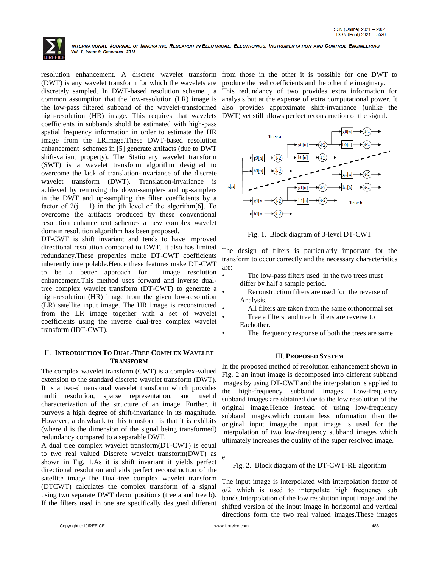

resolution enhancement. A discrete wavelet transform from those in the other it is possible for one DWT to (DWT) is any wavelet transform for which the wavelets are produce the real coefficients and the other the imaginary. discretely sampled. In DWT-based resolution scheme , a This redundancy of two provides extra information for common assumption that the low-resolution (LR) image is analysis but at the expense of extra computational power. It the low-pass filtered subband of the wavelet-transformed also provides approximate shift-invariance (unlike the high-resolution (HR) image. This requires that wavelets DWT) yet still allows perfect reconstruction of the signal. coefficients in subbands shold be estimated with high-pass spatial frequency information in order to estimate the HR image from the LRimage.These DWT-based resolution enhancement schemes in [5] generate artifacts (due to DWT shift-variant property). The Stationary wavelet transform (SWT) is a wavelet transform algorithm designed to overcome the lack of translation-invariance of the discrete wavelet transform (DWT). Translation-invariance is achieved by removing the down-samplers and up-samplers in the DWT and up-sampling the filter coefficients by a factor of  $2(i - 1)$  in the jth level of the algorithm[6]. To overcome the artifacts produced by these conventional resolution enhancement schemes a new complex wavelet domain resolution algorithm has been proposed.

DT-CWT is shift invariant and tends to have improved directional resolution compared to DWT. It also has limited redundancy.These properties make DT-CWT coefficients inherently interpolable.Hence these features make DT-CWT to be a better approach for image resolution enhancement.This method uses forward and inverse dualtree complex wavelet transform (DT-CWT) to generate a high-resolution (HR) image from the given low-resolution (LR) satellite input image. The HR image is reconstructed from the LR image together with a set of wavelet coefficients using the inverse dual-tree complex wavelet transform (IDT-CWT).

# II. **INTRODUCTION TO DUAL-TREE COMPLEX WAVELET TRANSFORM**

The complex wavelet transform (CWT) is a complex-valued extension to the standard discrete wavelet transform (DWT). It is a two-dimensional wavelet transform which provides multi resolution, sparse representation, and useful characterization of the structure of an image. Further, it purveys a high degree of shift-invariance in its magnitude. However, a drawback to this transform is that it is exhibits (where d is the dimension of the signal being transformed) redundancy compared to a separable DWT.

A dual tree complex wavelet transform(DT-CWT) is equal to two real valued Discrete wavelet transform(DWT) as shown in Fig. 1.As it is shift invariant it yields perfect directional resolution and aids perfect reconstruction of the satellite image.The Dual-tree complex wavelet transform (DTCWT) calculates the complex transform of a signal using two separate DWT decompositions (tree a and tree b). If the filters used in one are specifically designed different



Fig. 1. Block diagram of 3-level DT-CWT

The design of filters is particularly important for the transform to occur correctly and the necessary characteristics are:

- The low-pass filters used in the two trees must differ by half a sample period.
- Reconstruction filters are used for the reverse of Analysis.
- All filters are taken from the same orthonormal set
- Tree a filters and tree b filters are reverse to Eachother.
- The frequency response of both the trees are same.

# III. **PROPOSED SYSTEM**

In the proposed method of resolution enhancement shown in Fig. 2 an input image is decomposed into different subband images by using DT-CWT and the interpolation is applied to the high-frequency subband images. Low-frequency subband images are obtained due to the low resolution of the original image.Hence instead of using low-frequency subband images,which contain less information than the original input image,the input image is used for the interpolation of two low-frequency subband images which ultimately increases the quality of the super resolved image.

e

# Fig. 2. Block diagram of the DT-CWT-RE algorithm

The input image is interpolated with interpolation factor of  $\alpha/2$  which is used to interpolate high frequency sub bands.Interpolation of the low resolution input image and the shifted version of the input image in horizontal and vertical directions form the two real valued images.These images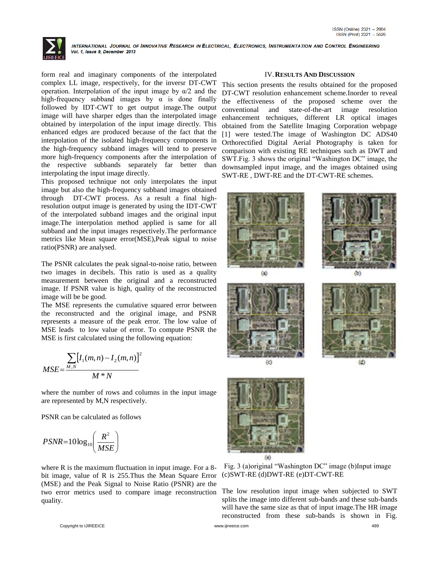

form real and imaginary components of the interpolated complex LL image, respectively, for the inversr DT-CWT operation. Interpolation of the input image by  $\alpha/2$  and the high-frequency subband images by  $\alpha$  is done finally followed by IDT-CWT to get output image.The output image will have sharper edges than the interpolated image obtained by interpolation of the input image directly. This enhanced edges are produced because of the fact that the interpolation of the isolated high-frequency components in the high-frequency subband images will tend to preserve more high-frequency components after the interpolation of the respective subbands separately far better than interpolating the input image directly.

This proposed technique not only interpolates the input image but also the high-frequency subband images obtained through DT-CWT process. As a result a final highresolution output image is generated by using the IDT-CWT of the interpolated subband images and the original input image.The interpolation method applied is same for all subband and the input images respectively.The performance metrics like Mean square error(MSE),Peak signal to noise ratio(PSNR) are analysed.

The PSNR calculates the peak signal-to-noise ratio, between two images in decibels. This ratio is used as a quality measurement between the original and a reconstructed image. If PSNR value is high, quality of the reconstructed image will be be good.

The MSE represents the cumulative squared error between the reconstructed and the original image, and PSNR represents a measure of the peak error. The low value of MSE leads to low value of error. To compute PSNR the MSE is first calculated using the following equation:

$$
MSE = \frac{\sum_{M,N} [I_1(m,n) - I_2(m,n)]^2}{M*N}
$$

where the number of rows and columns in the input image are represented by M,N respectively.

PSNR can be calculated as follows

$$
PSNR = 10 \log_{10} \left( \frac{R^2}{MSE} \right)
$$

where R is the maximum fluctuation in input image. For a 8bit image, value of R is 255.Thus the Mean Square Error (MSE) and the Peak Signal to Noise Ratio (PSNR) are the two error metrics used to compare image reconstruction quality.

# IV.**RESULTS AND DISCUSSION**

This section presents the results obtained for the proposed DT-CWT resolution enhancement scheme.Inorder to reveal the effectiveness of the proposed scheme over the conventional and state-of-the-art image resolution enhancement techniques, different LR optical images obtained from the Satellite Imaging Corporation webpage [1] were tested.The image of Washington DC ADS40 Orthorectified Digital Aerial Photography is taken for comparison with existing RE techniques such as DWT and SWT.Fig. 3 shows the original "Washington DC" image, the downsampled input image, and the images obtained using SWT-RE , DWT-RE and the DT-CWT-RE schemes.





Fig. 3 (a)original "Washington DC" image (b)Input image (c)SWT-RE (d)DWT-RE (e)DT-CWT-RE

The low resolution input image when subjected to SWT splits the image into different sub-bands and these sub-bands will have the same size as that of input image.The HR image reconstructed from these sub-bands is shown in Fig.

Copyright to IJIREEICE [www.ijireeice.com](http://www.ijireeice.com/) 489